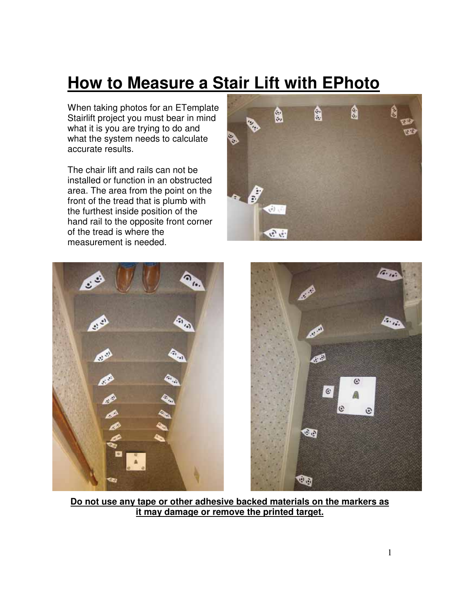# **How to Measure a Stair Lift with EPhoto**

When taking photos for an ETemplate Stairlift project you must bear in mind what it is you are trying to do and what the system needs to calculate accurate results.

The chair lift and rails can not be installed or function in an obstructed area. The area from the point on the front of the tread that is plumb with the furthest inside position of the hand rail to the opposite front corner of the tread is where the measurement is needed.





**Do not use any tape or other adhesive backed materials on the markers as it may damage or remove the printed target.**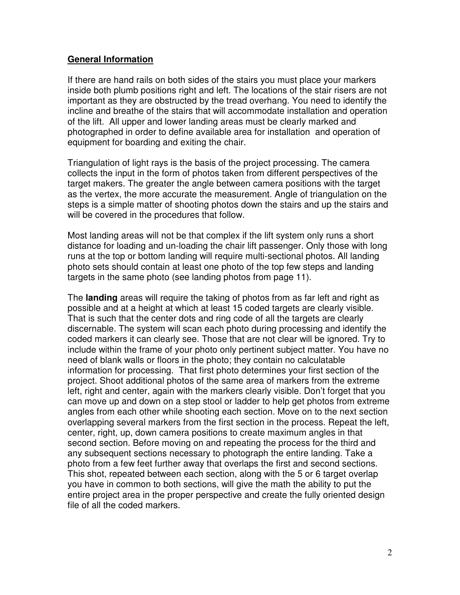#### **General Information**

If there are hand rails on both sides of the stairs you must place your markers inside both plumb positions right and left. The locations of the stair risers are not important as they are obstructed by the tread overhang. You need to identify the incline and breathe of the stairs that will accommodate installation and operation of the lift. All upper and lower landing areas must be clearly marked and photographed in order to define available area for installation and operation of equipment for boarding and exiting the chair.

Triangulation of light rays is the basis of the project processing. The camera collects the input in the form of photos taken from different perspectives of the target makers. The greater the angle between camera positions with the target as the vertex, the more accurate the measurement. Angle of triangulation on the steps is a simple matter of shooting photos down the stairs and up the stairs and will be covered in the procedures that follow.

Most landing areas will not be that complex if the lift system only runs a short distance for loading and un-loading the chair lift passenger. Only those with long runs at the top or bottom landing will require multi-sectional photos. All landing photo sets should contain at least one photo of the top few steps and landing targets in the same photo (see landing photos from page 11).

The **landing** areas will require the taking of photos from as far left and right as possible and at a height at which at least 15 coded targets are clearly visible. That is such that the center dots and ring code of all the targets are clearly discernable. The system will scan each photo during processing and identify the coded markers it can clearly see. Those that are not clear will be ignored. Try to include within the frame of your photo only pertinent subject matter. You have no need of blank walls or floors in the photo; they contain no calculatable information for processing. That first photo determines your first section of the project. Shoot additional photos of the same area of markers from the extreme left, right and center, again with the markers clearly visible. Don't forget that you can move up and down on a step stool or ladder to help get photos from extreme angles from each other while shooting each section. Move on to the next section overlapping several markers from the first section in the process. Repeat the left, center, right, up, down camera positions to create maximum angles in that second section. Before moving on and repeating the process for the third and any subsequent sections necessary to photograph the entire landing. Take a photo from a few feet further away that overlaps the first and second sections. This shot, repeated between each section, along with the 5 or 6 target overlap you have in common to both sections, will give the math the ability to put the entire project area in the proper perspective and create the fully oriented design file of all the coded markers.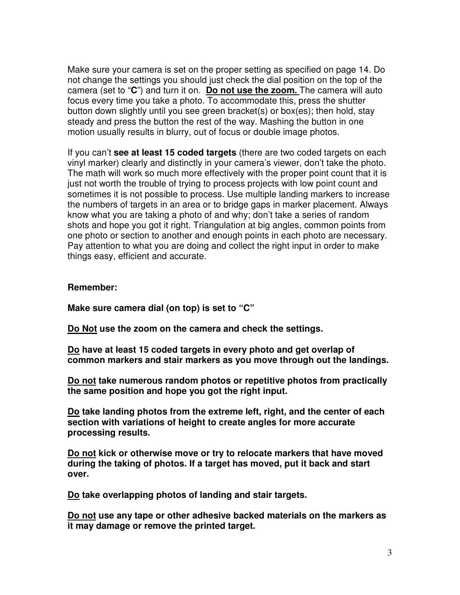Make sure your camera is set on the proper setting as specified on page 14. Do not change the settings you should just check the dial position on the top of the camera (set to "**C**") and turn it on. **Do not use the zoom.** The camera will auto focus every time you take a photo. To accommodate this, press the shutter button down slightly until you see green bracket(s) or box(es); then hold, stay steady and press the button the rest of the way. Mashing the button in one motion usually results in blurry, out of focus or double image photos.

If you can't **see at least 15 coded targets** (there are two coded targets on each vinyl marker) clearly and distinctly in your camera's viewer, don't take the photo. The math will work so much more effectively with the proper point count that it is just not worth the trouble of trying to process projects with low point count and sometimes it is not possible to process. Use multiple landing markers to increase the numbers of targets in an area or to bridge gaps in marker placement. Always know what you are taking a photo of and why; don't take a series of random shots and hope you got it right. Triangulation at big angles, common points from one photo or section to another and enough points in each photo are necessary. Pay attention to what you are doing and collect the right input in order to make things easy, efficient and accurate.

#### **Remember:**

**Make sure camera dial (on top) is set to "C"** 

**Do Not use the zoom on the camera and check the settings.** 

**Do have at least 15 coded targets in every photo and get overlap of common markers and stair markers as you move through out the landings.** 

**Do not take numerous random photos or repetitive photos from practically the same position and hope you got the right input.** 

**Do take landing photos from the extreme left, right, and the center of each section with variations of height to create angles for more accurate processing results.** 

**Do not kick or otherwise move or try to relocate markers that have moved during the taking of photos. If a target has moved, put it back and start over.** 

**Do take overlapping photos of landing and stair targets.** 

**Do not use any tape or other adhesive backed materials on the markers as it may damage or remove the printed target.**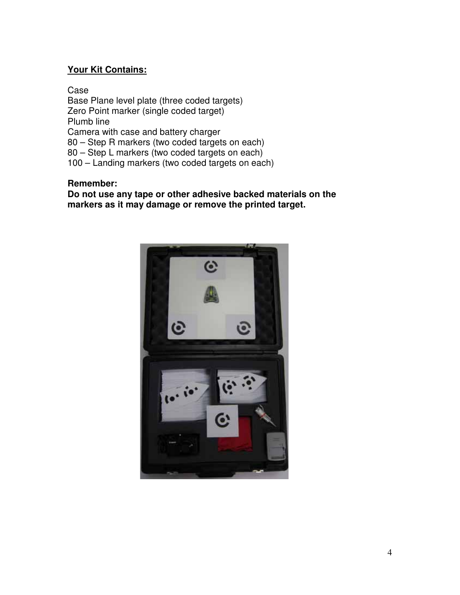### **Your Kit Contains:**

Case Base Plane level plate (three coded targets) Zero Point marker (single coded target) Plumb line Camera with case and battery charger 80 – Step R markers (two coded targets on each) 80 – Step L markers (two coded targets on each) 100 – Landing markers (two coded targets on each)

#### **Remember:**

**Do not use any tape or other adhesive backed materials on the markers as it may damage or remove the printed target.** 

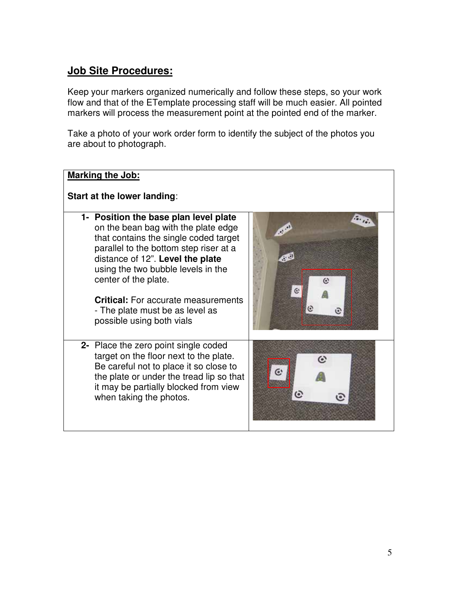### **Job Site Procedures:**

Keep your markers organized numerically and follow these steps, so your work flow and that of the ETemplate processing staff will be much easier. All pointed markers will process the measurement point at the pointed end of the marker.

Take a photo of your work order form to identify the subject of the photos you are about to photograph.

| <b>Marking the Job:</b>                                                                                                                                                                                                                                                                                                                                                         |  |
|---------------------------------------------------------------------------------------------------------------------------------------------------------------------------------------------------------------------------------------------------------------------------------------------------------------------------------------------------------------------------------|--|
| Start at the lower landing:                                                                                                                                                                                                                                                                                                                                                     |  |
| 1- Position the base plan level plate<br>on the bean bag with the plate edge<br>that contains the single coded target<br>parallel to the bottom step riser at a<br>distance of 12". Level the plate<br>using the two bubble levels in the<br>center of the plate.<br><b>Critical:</b> For accurate measurements<br>- The plate must be as level as<br>possible using both vials |  |
| 2- Place the zero point single coded<br>target on the floor next to the plate.<br>Be careful not to place it so close to<br>the plate or under the tread lip so that<br>it may be partially blocked from view<br>when taking the photos.                                                                                                                                        |  |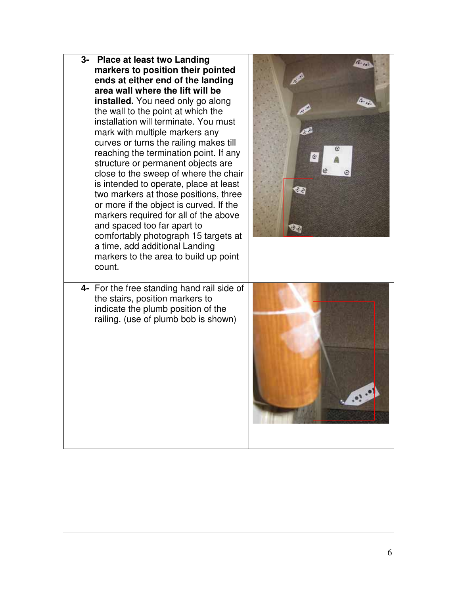**3- Place at least two Landing markers to position their pointed ends at either end of the landing area wall where the lift will be installed.** You need only go along the wall to the point at which the installation will terminate. You must 4Ú mark with multiple markers any curves or turns the railing makes till reaching the termination point. If any e structure or permanent objects are close to the sweep of where the chair is intended to operate, place at least œ, two markers at those positions, three or more if the object is curved. If the markers required for all of the above and spaced too far apart to Ù., comfortably photograph 15 targets at a time, add additional Landing markers to the area to build up point count. **4-** For the free standing hand rail side of the stairs, position markers to indicate the plumb position of the railing. (use of plumb bob is shown)  $\bullet$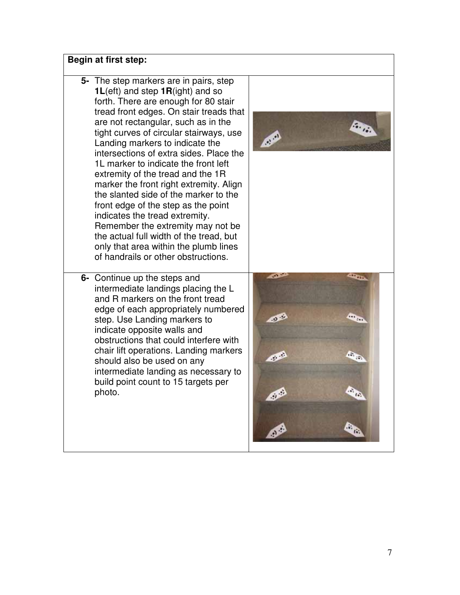### **Begin at first step:**

- **5-** The step markers are in pairs, step **1L**(eft) and step **1R**(ight) and so forth. There are enough for 80 stair tread front edges. On stair treads that are not rectangular, such as in the tight curves of circular stairways, use Landing markers to indicate the intersections of extra sides. Place the 1L marker to indicate the front left extremity of the tread and the 1R marker the front right extremity. Align the slanted side of the marker to the front edge of the step as the point indicates the tread extremity. Remember the extremity may not be the actual full width of the tread, but only that area within the plumb lines of handrails or other obstructions.
- **6-** Continue up the steps and intermediate landings placing the L and R markers on the front tread edge of each appropriately numbered step. Use Landing markers to indicate opposite walls and obstructions that could interfere with chair lift operations. Landing markers should also be used on any intermediate landing as necessary to build point count to 15 targets per photo.



Ø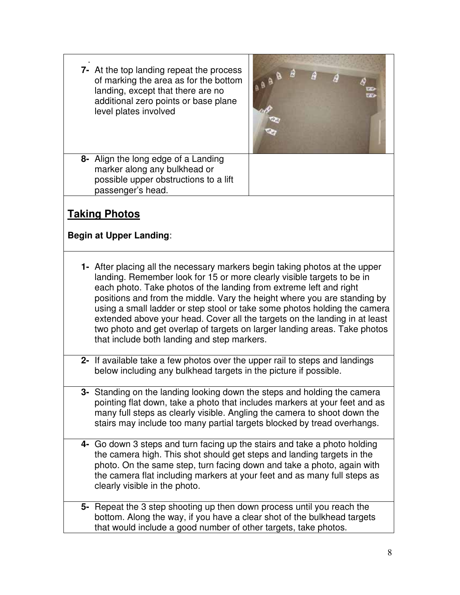. **7-** At the top landing repeat the process of marking the area as for the bottom landing, except that there are no additional zero points or base plane level plates involved



**8-** Align the long edge of a Landing marker along any bulkhead or possible upper obstructions to a lift passenger's head.

## **Taking Photos**

### **Begin at Upper Landing**:

- **1-** After placing all the necessary markers begin taking photos at the upper landing. Remember look for 15 or more clearly visible targets to be in each photo. Take photos of the landing from extreme left and right positions and from the middle. Vary the height where you are standing by using a small ladder or step stool or take some photos holding the camera extended above your head. Cover all the targets on the landing in at least two photo and get overlap of targets on larger landing areas. Take photos that include both landing and step markers.
- **2-** If available take a few photos over the upper rail to steps and landings below including any bulkhead targets in the picture if possible.
- **3-** Standing on the landing looking down the steps and holding the camera pointing flat down, take a photo that includes markers at your feet and as many full steps as clearly visible. Angling the camera to shoot down the stairs may include too many partial targets blocked by tread overhangs.
- **4-** Go down 3 steps and turn facing up the stairs and take a photo holding the camera high. This shot should get steps and landing targets in the photo. On the same step, turn facing down and take a photo, again with the camera flat including markers at your feet and as many full steps as clearly visible in the photo.
- **5-** Repeat the 3 step shooting up then down process until you reach the bottom. Along the way, if you have a clear shot of the bulkhead targets that would include a good number of other targets, take photos.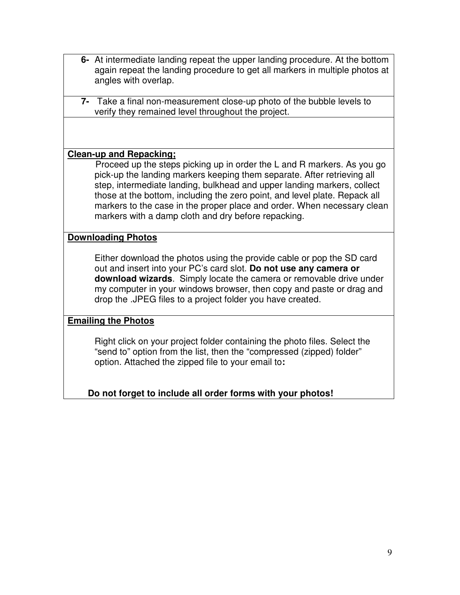- **6-** At intermediate landing repeat the upper landing procedure. At the bottom again repeat the landing procedure to get all markers in multiple photos at angles with overlap.
- **7-** Take a final non-measurement close-up photo of the bubble levels to verify they remained level throughout the project.

### **Clean-up and Repacking;**

 Proceed up the steps picking up in order the L and R markers. As you go pick-up the landing markers keeping them separate. After retrieving all step, intermediate landing, bulkhead and upper landing markers, collect those at the bottom, including the zero point, and level plate. Repack all markers to the case in the proper place and order. When necessary clean markers with a damp cloth and dry before repacking.

### **Downloading Photos**

 Either download the photos using the provide cable or pop the SD card out and insert into your PC's card slot. **Do not use any camera or download wizards**. Simply locate the camera or removable drive under my computer in your windows browser, then copy and paste or drag and drop the .JPEG files to a project folder you have created.

### **Emailing the Photos**

 Right click on your project folder containing the photo files. Select the "send to" option from the list, then the "compressed (zipped) folder" option. Attached the zipped file to your email to**:** 

### **Do not forget to include all order forms with your photos!**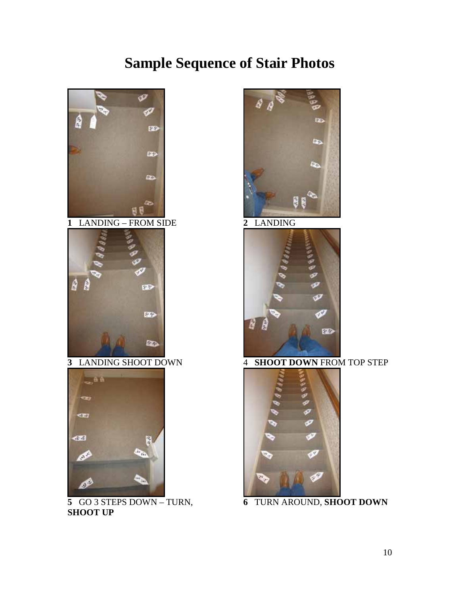# **Sample Sequence of Stair Photos**



 GO 3 STEPS DOWN – TURN, **SHOOT UP**





**SHOOT DOWN** FROM TOP STEP



TURN AROUND, **SHOOT DOWN**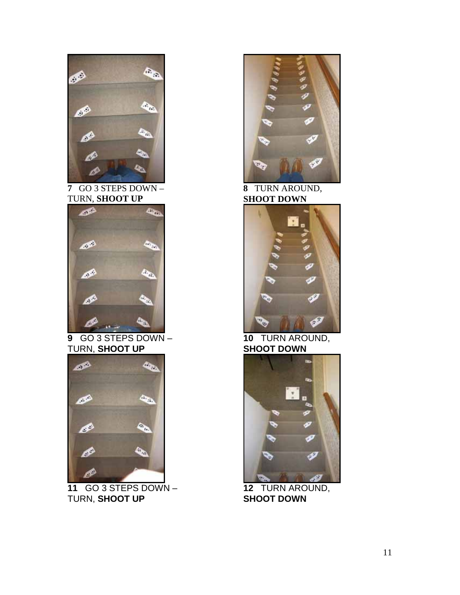

**7** GO 3 STEPS DOWN – TURN, **SHOOT UP**



**9** GO 3 STEPS DOWN – TURN, **SHOOT UP**



**11** GO 3 STEPS DOWN – TURN, **SHOOT UP** 



**8** TURN AROUND, **SHOOT DOWN** 



 **<sup>10</sup>** TURN AROUND, **SHOOT DOWN** 



**12** TURN AROUND, **SHOOT DOWN**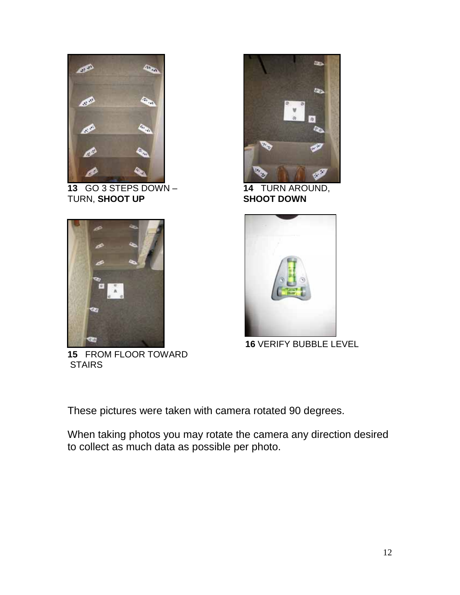

**13** GO 3 STEPS DOWN – TURN, **SHOOT UP** 



**15** FROM FLOOR TOWARD **STAIRS** 



**14** TURN AROUND, **SHOOT DOWN** 



**16** VERIFY BUBBLE LEVEL

These pictures were taken with camera rotated 90 degrees.

When taking photos you may rotate the camera any direction desired to collect as much data as possible per photo.